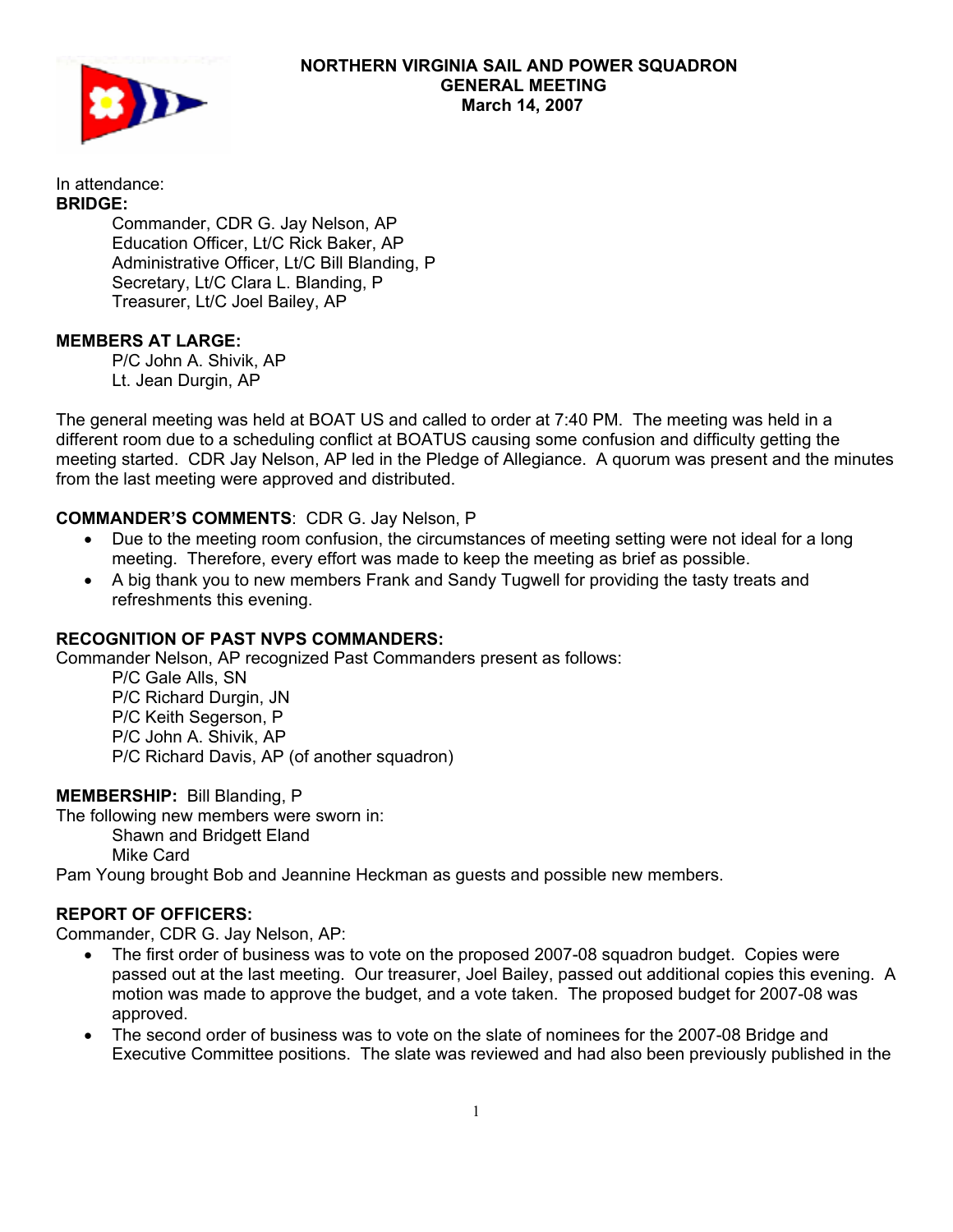

In attendance: **BRIDGE:** 

 Commander, CDR G. Jay Nelson, AP Education Officer, Lt/C Rick Baker, AP Administrative Officer, Lt/C Bill Blanding, P Secretary, Lt/C Clara L. Blanding, P Treasurer, Lt/C Joel Bailey, AP

## **MEMBERS AT LARGE:**

P/C John A. Shivik, AP Lt. Jean Durgin, AP

The general meeting was held at BOAT US and called to order at 7:40 PM. The meeting was held in a different room due to a scheduling conflict at BOATUS causing some confusion and difficulty getting the meeting started. CDR Jay Nelson, AP led in the Pledge of Allegiance. A quorum was present and the minutes from the last meeting were approved and distributed.

## **COMMANDER'S COMMENTS**: CDR G. Jay Nelson, P

- Due to the meeting room confusion, the circumstances of meeting setting were not ideal for a long meeting. Therefore, every effort was made to keep the meeting as brief as possible.
- A big thank you to new members Frank and Sandy Tugwell for providing the tasty treats and refreshments this evening.

## **RECOGNITION OF PAST NVPS COMMANDERS:**

Commander Nelson, AP recognized Past Commanders present as follows:

 P/C Gale Alls, SN P/C Richard Durgin, JN P/C Keith Segerson, P P/C John A. Shivik, AP P/C Richard Davis, AP (of another squadron)

**MEMBERSHIP:** Bill Blanding, P

The following new members were sworn in: Shawn and Bridgett Eland Mike Card

Pam Young brought Bob and Jeannine Heckman as guests and possible new members.

## **REPORT OF OFFICERS:**

Commander, CDR G. Jay Nelson, AP:

- The first order of business was to vote on the proposed 2007-08 squadron budget. Copies were passed out at the last meeting. Our treasurer, Joel Bailey, passed out additional copies this evening. A motion was made to approve the budget, and a vote taken. The proposed budget for 2007-08 was approved.
- The second order of business was to vote on the slate of nominees for the 2007-08 Bridge and Executive Committee positions. The slate was reviewed and had also been previously published in the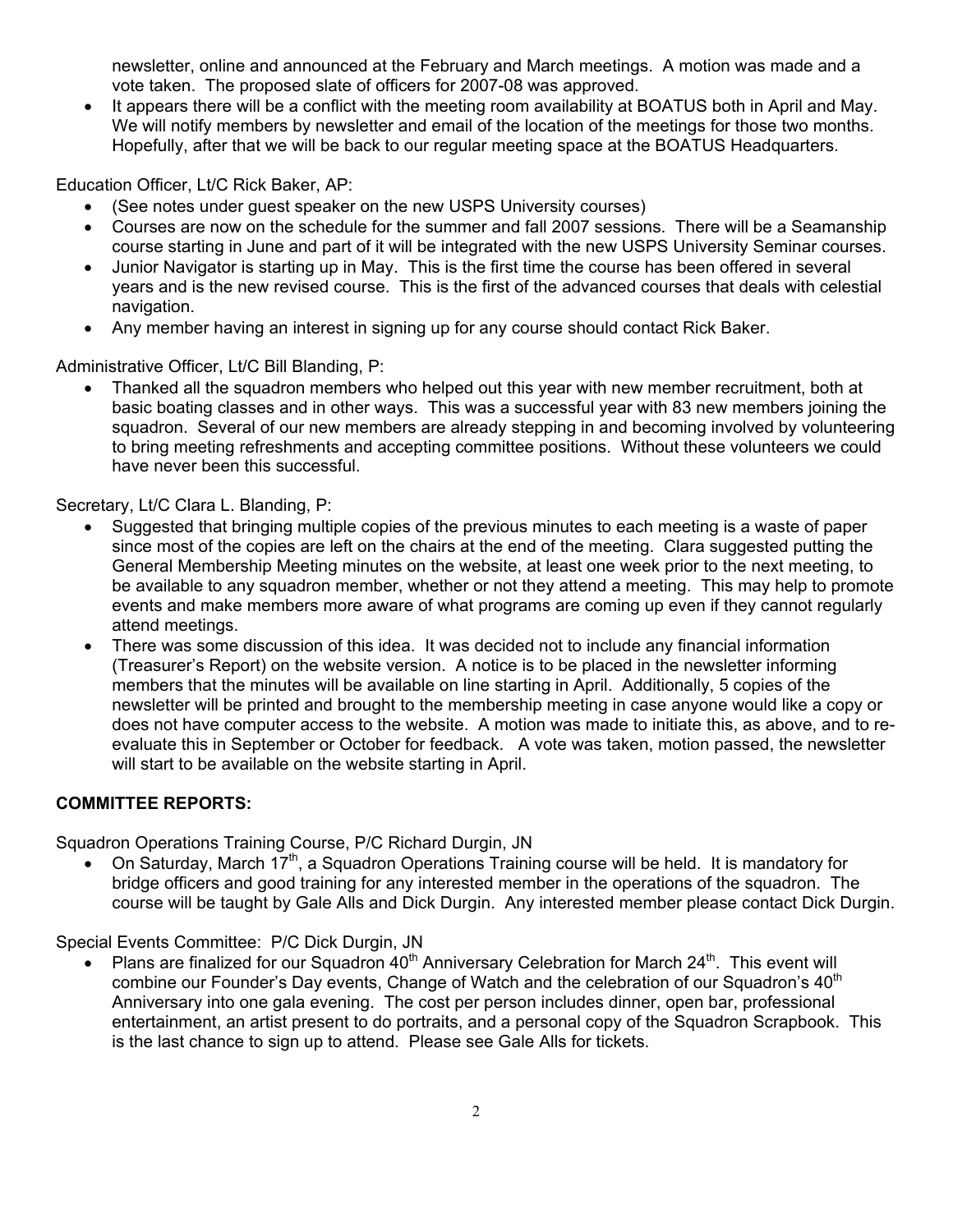newsletter, online and announced at the February and March meetings. A motion was made and a vote taken. The proposed slate of officers for 2007-08 was approved.

• It appears there will be a conflict with the meeting room availability at BOATUS both in April and May. We will notify members by newsletter and email of the location of the meetings for those two months. Hopefully, after that we will be back to our regular meeting space at the BOATUS Headquarters.

Education Officer, Lt/C Rick Baker, AP:

- (See notes under guest speaker on the new USPS University courses)
- Courses are now on the schedule for the summer and fall 2007 sessions. There will be a Seamanship course starting in June and part of it will be integrated with the new USPS University Seminar courses.
- Junior Navigator is starting up in May. This is the first time the course has been offered in several years and is the new revised course. This is the first of the advanced courses that deals with celestial navigation.
- Any member having an interest in signing up for any course should contact Rick Baker.

Administrative Officer, Lt/C Bill Blanding, P:

• Thanked all the squadron members who helped out this year with new member recruitment, both at basic boating classes and in other ways. This was a successful year with 83 new members joining the squadron. Several of our new members are already stepping in and becoming involved by volunteering to bring meeting refreshments and accepting committee positions. Without these volunteers we could have never been this successful.

Secretary, Lt/C Clara L. Blanding, P:

- Suggested that bringing multiple copies of the previous minutes to each meeting is a waste of paper since most of the copies are left on the chairs at the end of the meeting. Clara suggested putting the General Membership Meeting minutes on the website, at least one week prior to the next meeting, to be available to any squadron member, whether or not they attend a meeting. This may help to promote events and make members more aware of what programs are coming up even if they cannot regularly attend meetings.
- There was some discussion of this idea. It was decided not to include any financial information (Treasurer's Report) on the website version. A notice is to be placed in the newsletter informing members that the minutes will be available on line starting in April. Additionally, 5 copies of the newsletter will be printed and brought to the membership meeting in case anyone would like a copy or does not have computer access to the website. A motion was made to initiate this, as above, and to reevaluate this in September or October for feedback. A vote was taken, motion passed, the newsletter will start to be available on the website starting in April.

# **COMMITTEE REPORTS:**

Squadron Operations Training Course, P/C Richard Durgin, JN

• On Saturday, March  $17<sup>th</sup>$ , a Squadron Operations Training course will be held. It is mandatory for bridge officers and good training for any interested member in the operations of the squadron. The course will be taught by Gale Alls and Dick Durgin. Any interested member please contact Dick Durgin.

Special Events Committee: P/C Dick Durgin, JN

Plans are finalized for our Squadron  $40<sup>th</sup>$  Anniversary Celebration for March  $24<sup>th</sup>$ . This event will combine our Founder's Day events, Change of Watch and the celebration of our Squadron's 40<sup>th</sup> Anniversary into one gala evening. The cost per person includes dinner, open bar, professional entertainment, an artist present to do portraits, and a personal copy of the Squadron Scrapbook. This is the last chance to sign up to attend. Please see Gale Alls for tickets.